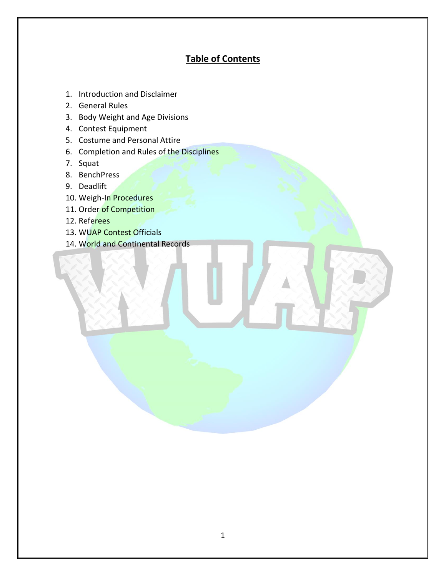# **Table of Contents**

- 1. Introduction and Disclaimer
- 2. General Rules
- 3. Body Weight and Age Divisions
- 4. Contest Equipment
- 5. Costume and Personal Attire
- 6. Completion and Rules of the Disciplines
- 7. Squat
- 8. BenchPress
- 9. Deadlift
- 10. Weigh-In Procedures
- 11. Order of Competition
- 12. Referees
- 13. WUAP Contest Officials
- 14. World and Continental Records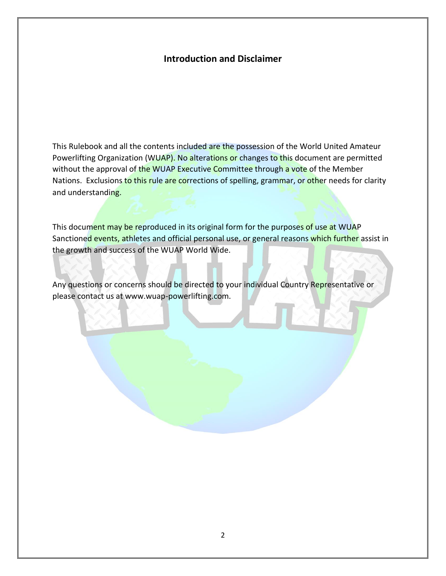## **Introduction and Disclaimer**

This Rulebook and all the contents included are the possession of the World United Amateur Powerlifting Organization (WUAP). No alterations or changes to this document are permitted without the approval of the WUAP Executive Committee through a vote of the Member Nations. Exclusions to this rule are corrections of spelling, grammar, or other needs for clarity and understanding.

This document may be reproduced in its original form for the purposes of use at WUAP Sanctioned events, athletes and official personal use, or general reasons which further assist in the growth and success of the WUAP World Wide.

Any questions or concerns should be directed to your individual Country Representative or please contact us at www.wuap-powerlifting.com.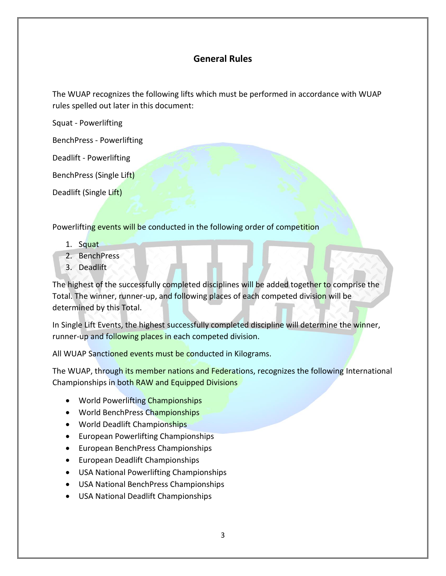## **General Rules**

The WUAP recognizes the following lifts which must be performed in accordance with WUAP rules spelled out later in this document:

Squat - Powerlifting

BenchPress - Powerlifting

Deadlift - Powerlifting

BenchPress (Single Lift)

Deadlift (Single Lift)

Powerlifting events will be conducted in the following order of competition

- 1. Squat
- 2. BenchPress
- 3. Deadlift

The highest of the successfully completed disciplines will be added together to comprise the Total. The winner, runner-up, and following places of each competed division will be determined by this Total.

In Single Lift Events, the highest successfully completed discipline will determine the winner, runner-up and following places in each competed division.

All WUAP Sanctioned events must be conducted in Kilograms.

The WUAP, through its member nations and Federations, recognizes the following International Championships in both RAW and Equipped Divisions

- World Powerlifting Championships
- World Bench Press Championships
- World Deadlift Championships
- European Powerlifting Championships
- European BenchPress Championships
- European Deadlift Championships
- USA National Powerlifting Championships
- USA National BenchPress Championships
- USA National Deadlift Championships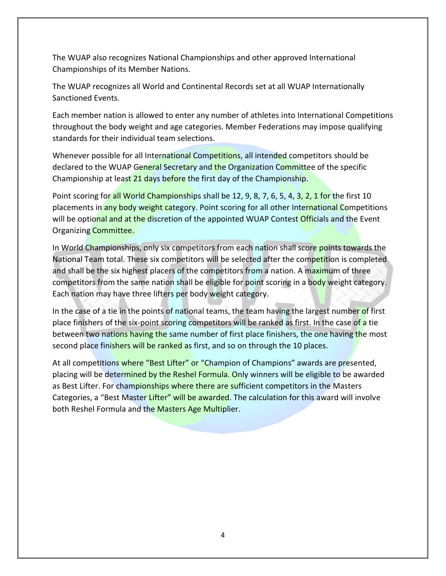The WUAP also recognizes National Championships and other approved International Championships of its Member Nations.

The WUAP recognizes all World and Continental Records set at all WUAP Internationally Sanctioned Events.

Each member nation is allowed to enter any number of athletes into International Competitions throughout the body weight and age categories. Member Federations may impose qualifying standards for their individual team selections.

Whenever possible for all International Competitions, all intended competitors should be declared to the WUAP General Secretary and the Organization Committee of the specific Championship at least 21 days before the first day of the Championship.

Point scoring for all World Championships shall be 12, 9, 8, 7, 6, 5, 4, 3, 2, 1 for the first 10 placements in any body weight category. Point scoring for all other International Competitions will be optional and at the discretion of the appointed WUAP Contest Officials and the Event Organizing Committee.

In World Championships, only six competitors from each nation shall score points towards the National Team total. These six competitors will be selected after the competition is completed and shall be the six highest placers of the competitors from a nation. A maximum of three competitors from the same nation shall be eligible for point scoring in a body weight category. Each nation may have three lifters per body weight category.

In the case of a tie in the points of national teams, the team having the largest number of first place finishers of the six-point scoring competitors will be ranked as first. In the case of a tie between two nations having the same number of first place finishers, the one having the most second place finishers will be ranked as first, and so on through the 10 places.

At all competitions where "Best Lifter" or "Champion of Champions" awards are presented, placing will be determined by the Reshel Formula. Only winners will be eligible to be awarded as Best Lifter. For championships where there are sufficient competitors in the Masters Categories, a "Best Master Lifter" will be awarded. The calculation for this award will involve both Reshel Formula and the Masters Age Multiplier.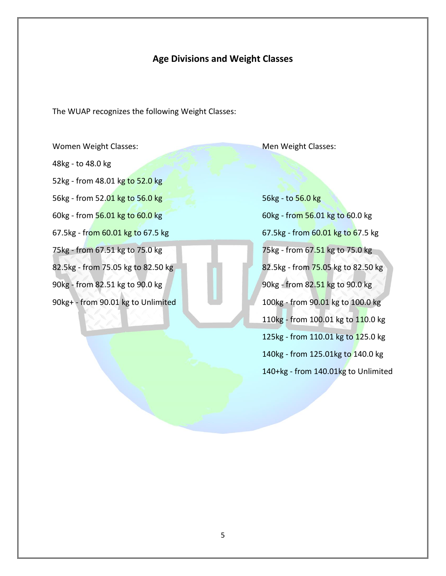## **Age Divisions and Weight Classes**

The WUAP recognizes the following Weight Classes:

Women Weight Classes: Men Weight Classes: Men Weight Classes: 48kg - to 48.0 kg 52kg - from 48.01 kg to 52.0 kg 56kg - from 52.01 kg to 56.0 kg 56.0 kg 56.0 kg 56kg - to 56.0 kg 60kg - from 56.01 kg to 60.0 kg 60.0 kg 60 kg 60 kg 60 kg 60.0 kg 60.0 kg 75kg - from 67.51 kg to 75.0 kg 75.0 kg 75.0 kg 75.0 kg 75.0 kg 90kg - from 82.51 kg to 90.0 kg 90 million 90 kg 90kg - from 82.51 kg to 90.0 kg

67.5kg - from  $60.01$  kg to 67.5 kg 67.5 kg 67.5 kg 67.5 kg 67.5 kg 67.5 kg 82.5kg - from 75.05 kg to 82.50 kg 82.5kg 82.5kg - from 75.05 kg to 82.50 kg 90kg+ - from 90.01 kg to Unlimited 100 kg 100kg - from 90.01 kg to 100.0 kg 110kg - from 100.01 kg to 110.0 kg 125kg - from 110.01 kg to 125.0 kg 140kg - from 125.01kg to 140.0 kg 140+kg - from 140.01kg to Unlimited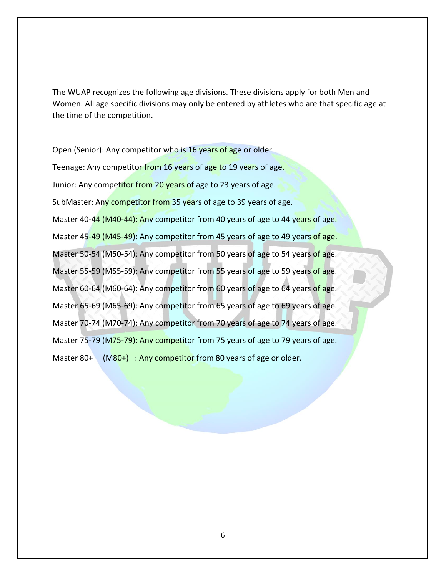The WUAP recognizes the following age divisions. These divisions apply for both Men and Women. All age specific divisions may only be entered by athletes who are that specific age at the time of the competition.

Open (Senior): Any competitor who is 16 years of age or older. Teenage: Any competitor from 16 years of age to 19 years of age. Junior: Any competitor from 20 years of age to 23 years of age. SubMaster: Any competitor from 35 years of age to 39 years of age. Master 40-44 (M40-44): Any competitor from 40 years of age to 44 years of age. Master 45-49 (M45-49): Any competitor from 45 years of age to 49 years of age. Master 50-54 (M50-54): Any competitor from 50 years of age to 54 years of age. Master 55-59 (M55-59): Any competitor from 55 years of age to 59 years of age. Master 60-64 (M60-64): Any competitor from 60 years of age to 64 years of age. Master 65-69 (M65-69): Any competitor from 65 years of age to 69 years of age. Master 70-74 (M70-74): Any competitor from 70 years of age to 74 years of age. Master 75-79 (M75-79): Any competitor from 75 years of age to 79 years of age. Master 80+ (M80+) : Any competitor from 80 years of age or older.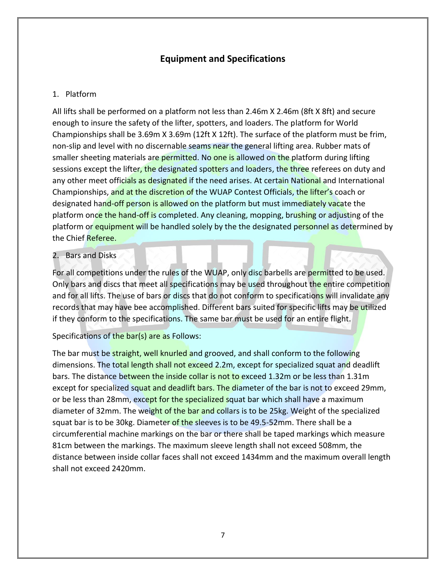# **Equipment and Specifications**

## 1. Platform

All lifts shall be performed on a platform not less than 2.46m X 2.46m (8ft X 8ft) and secure enough to insure the safety of the lifter, spotters, and loaders. The platform for World Championships shall be 3.69m X 3.69m (12ft X 12ft). The surface of the platform must be frim, non-slip and level with no discernable seams near the general lifting area. Rubber mats of smaller sheeting materials are permitted. No one is allowed on the platform during lifting sessions except the lifter, the designated spotters and loaders, the three referees on duty and any other meet officials as designated if the need arises. At certain National and International Championships, and at the discretion of the WUAP Contest Officials, the lifter's coach or designated hand-off person is allowed on the platform but must immediately vacate the platform once the hand-off is completed. Any cleaning, mopping, brushing or adjusting of the platform or equipment will be handled solely by the the designated personnel as determined by the Chief Referee.

## 2. Bars and Disks

For all competitions under the rules of the WUAP, only disc barbells are permitted to be used. Only bars and discs that meet all specifications may be used throughout the entire competition and for all lifts. The use of bars or discs that do not conform to specifications will invalidate any records that may have bee accomplished. Different bars suited for specific lifts may be utilized if they conform to the specifications. The same bar must be used for an entire flight.

Specifications of the bar(s) are as Follows:

The bar must be straight, well knurled and grooved, and shall conform to the following dimensions. The total length shall not exceed 2.2m, except for specialized squat and deadlift bars. The distance between the inside collar is not to exceed 1.32m or be less than 1.31m except for specialized squat and deadlift bars. The diameter of the bar is not to exceed 29mm, or be less than 28mm, except for the specialized squat bar which shall have a maximum diameter of 32mm. The weight of the bar and collars is to be 25kg. Weight of the specialized squat bar is to be 30kg. Diameter of the sleeves is to be 49.5-52mm. There shall be a circumferential machine markings on the bar or there shall be taped markings which measure 81cm between the markings. The maximum sleeve length shall not exceed 508mm, the distance between inside collar faces shall not exceed 1434mm and the maximum overall length shall not exceed 2420mm.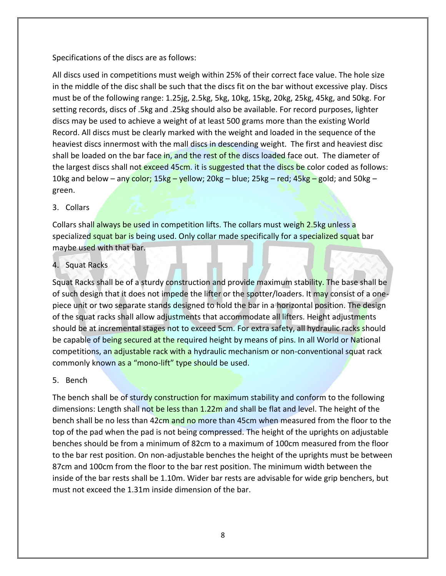## Specifications of the discs are as follows:

All discs used in competitions must weigh within 25% of their correct face value. The hole size in the middle of the disc shall be such that the discs fit on the bar without excessive play. Discs must be of the following range: 1.25jg, 2.5kg, 5kg, 10kg, 15kg, 20kg, 25kg, 45kg, and 50kg. For setting records, discs of .5kg and .25kg should also be available. For record purposes, lighter discs may be used to achieve a weight of at least 500 grams more than the existing World Record. All discs must be clearly marked with the weight and loaded in the sequence of the heaviest discs innermost with the mall discs in descending weight. The first and heaviest disc shall be loaded on the bar face in, and the rest of the discs loaded face out. The diameter of the largest discs shall not exceed 45cm. it is suggested that the discs be color coded as follows: 10kg and below – any color; 15kg – yellow; 20kg – blue; 25kg – red;  $45kg$  – gold; and 50kg – green.

## 3. Collars

Collars shall always be used in competition lifts. The collars must weigh 2.5kg unless a specialized squat bar is being used. Only collar made specifically for a specialized squat bar maybe used with that bar.

## 4. Squat Racks

Squat Racks shall be of a sturdy construction and provide maximum stability. The base shall be of such design that it does not impede the lifter or the spotter/loaders. It may consist of a onepiece unit or two separate stands designed to hold the bar in a horizontal position. The design of the squat racks shall allow adjustments that accommodate all lifters. Height adjustments should be at incremental stages not to exceed 5cm. For extra safety, all hydraulic racks should be capable of being secured at the required height by means of pins. In all World or National competitions, an adjustable rack with a hydraulic mechanism or non-conventional squat rack commonly known as a "mono-lift" type should be used.

#### 5. Bench

The bench shall be of sturdy construction for maximum stability and conform to the following dimensions: Length shall not be less than 1.22m and shall be flat and level. The height of the bench shall be no less than 42cm and no more than 45cm when measured from the floor to the top of the pad when the pad is not being compressed. The height of the uprights on adjustable benches should be from a minimum of 82cm to a maximum of 100cm measured from the floor to the bar rest position. On non-adjustable benches the height of the uprights must be between 87cm and 100cm from the floor to the bar rest position. The minimum width between the inside of the bar rests shall be 1.10m. Wider bar rests are advisable for wide grip benchers, but must not exceed the 1.31m inside dimension of the bar.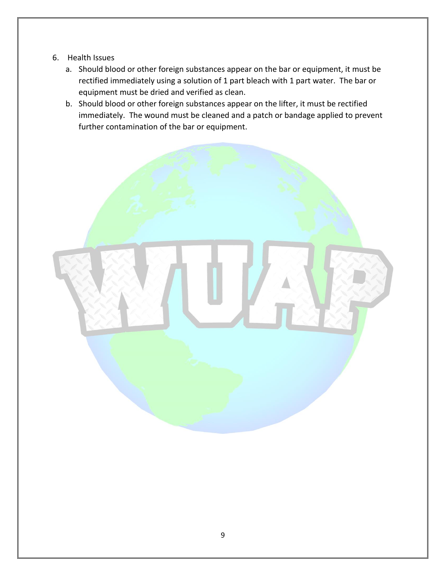- 6. Health Issues
	- a. Should blood or other foreign substances appear on the bar or equipment, it must be rectified immediately using a solution of 1 part bleach with 1 part water. The bar or equipment must be dried and verified as clean.
	- b. Should blood or other foreign substances appear on the lifter, it must be rectified immediately. The wound must be cleaned and a patch or bandage applied to prevent further contamination of the bar or equipment.

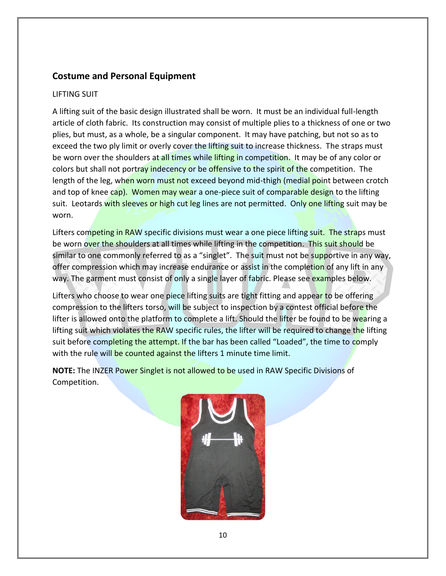# **Costume and Personal Equipment**

## LIFTING SUIT

A lifting suit of the basic design illustrated shall be worn. It must be an individual full-length article of cloth fabric. Its construction may consist of multiple plies to a thickness of one or two plies, but must, as a whole, be a singular component. It may have patching, but not so as to exceed the two ply limit or overly cover the lifting suit to increase thickness. The straps must be worn over the shoulders at all times while lifting in competition. It may be of any color or colors but shall not portray indecency or be offensive to the spirit of the competition. The length of the leg, when worn must not exceed beyond mid-thigh (medial point between crotch and top of knee cap). Women may wear a one-piece suit of comparable design to the lifting suit. Leotards with sleeves or high cut leg lines are not permitted. Only one lifting suit may be worn.

Lifters competing in RAW specific divisions must wear a one piece lifting suit. The straps must be worn over the shoulders at all times while lifting in the competition. This suit should be similar to one commonly referred to as a "singlet". The suit must not be supportive in any way, offer compression which may increase endurance or assist in the completion of any lift in any way. The garment must consist of only a single layer of fabric. Please see examples below.

Lifters who choose to wear one piece lifting suits are tight fitting and appear to be offering compression to the lifters torso, will be subject to inspection by a contest official before the lifter is allowed onto the platform to complete a lift. Should the lifter be found to be wearing a lifting suit which violates the RAW specific rules, the lifter will be required to change the lifting suit before completing the attempt. If the bar has been called "Loaded", the time to comply with the rule will be counted against the lifters 1 minute time limit.

**NOTE:** The INZER Power Singlet is not allowed to be used in RAW Specific Divisions of Competition.

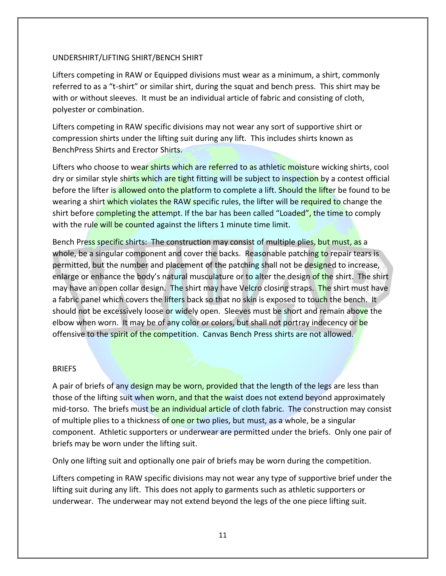#### UNDERSHIRT/LIFTING SHIRT/BENCH SHIRT

Lifters competing in RAW or Equipped divisions must wear as a minimum, a shirt, commonly referred to as a "t-shirt" or similar shirt, during the squat and bench press. This shirt may be with or without sleeves. It must be an individual article of fabric and consisting of cloth, polyester or combination.

Lifters competing in RAW specific divisions may not wear any sort of supportive shirt or compression shirts under the lifting suit during any lift. This includes shirts known as BenchPress Shirts and Erector Shirts.

Lifters who choose to wear shirts which are referred to as athletic moisture wicking shirts, cool dry or similar style shirts which are tight fitting will be subject to inspection by a contest official before the lifter is allowed onto the platform to complete a lift. Should the lifter be found to be wearing a shirt which violates the RAW specific rules, the lifter will be required to change the shirt before completing the attempt. If the bar has been called "Loaded", the time to comply with the rule will be counted against the lifters 1 minute time limit.

Bench Press specific shirts: The construction may consist of multiple plies, but must, as a whole, be a singular component and cover the backs. Reasonable patching to repair tears is permitted, but the number and placement of the patching shall not be designed to increase, enlarge or enhance the body's natural musculature or to alter the design of the shirt. The shirt may have an open collar design. The shirt may have Velcro closing straps. The shirt must have a fabric panel which covers the lifters back so that no skin is exposed to touch the bench. It should not be excessively loose or widely open. Sleeves must be short and remain above the elbow when worn. It may be of any color or colors, but shall not portray indecency or be offensive to the spirit of the competition. Canvas Bench Press shirts are not allowed.

#### BRIEFS

A pair of briefs of any design may be worn, provided that the length of the legs are less than those of the lifting suit when worn, and that the waist does not extend beyond approximately mid-torso. The briefs must be an individual article of cloth fabric. The construction may consist of multiple plies to a thickness of one or two plies, but must, as a whole, be a singular component. Athletic supporters or underwear are permitted under the briefs. Only one pair of briefs may be worn under the lifting suit.

Only one lifting suit and optionally one pair of briefs may be worn during the competition.

Lifters competing in RAW specific divisions may not wear any type of supportive brief under the lifting suit during any lift. This does not apply to garments such as athletic supporters or underwear. The underwear may not extend beyond the legs of the one piece lifting suit.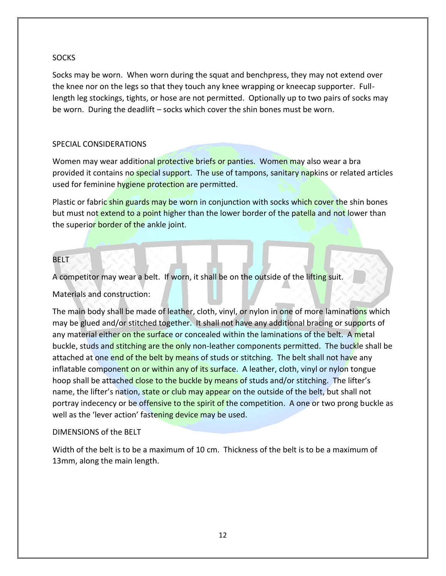### **SOCKS**

Socks may be worn. When worn during the squat and benchpress, they may not extend over the knee nor on the legs so that they touch any knee wrapping or kneecap supporter. Fulllength leg stockings, tights, or hose are not permitted. Optionally up to two pairs of socks may be worn. During the deadlift – socks which cover the shin bones must be worn.

## SPECIAL CONSIDERATIONS

Women may wear additional protective briefs or panties. Women may also wear a bra provided it contains no special support. The use of tampons, sanitary napkins or related articles used for feminine hygiene protection are permitted.

Plastic or fabric shin guards may be worn in conjunction with socks which cover the shin bones but must not extend to a point higher than the lower border of the patella and not lower than the superior border of the ankle joint.

## BELT

A competitor may wear a belt. If worn, it shall be on the outside of the lifting suit.

Materials and construction:

The main body shall be made of leather, cloth, vinyl, or nylon in one of more laminations which may be glued and/or stitched together. It shall not have any additional bracing or supports of any material either on the surface or concealed within the laminations of the belt. A metal buckle, studs and stitching are the only non-leather components permitted. The buckle shall be attached at one end of the belt by means of studs or stitching. The belt shall not have any inflatable component on or within any of its surface. A leather, cloth, vinyl or nylon tongue hoop shall be attached close to the buckle by means of studs and/or stitching. The lifter's name, the lifter's nation, state or club may appear on the outside of the belt, but shall not portray indecency or be offensive to the spirit of the competition. A one or two prong buckle as well as the 'lever action' fastening device may be used.

#### DIMENSIONS of the BELT

Width of the belt is to be a maximum of 10 cm. Thickness of the belt is to be a maximum of 13mm, along the main length.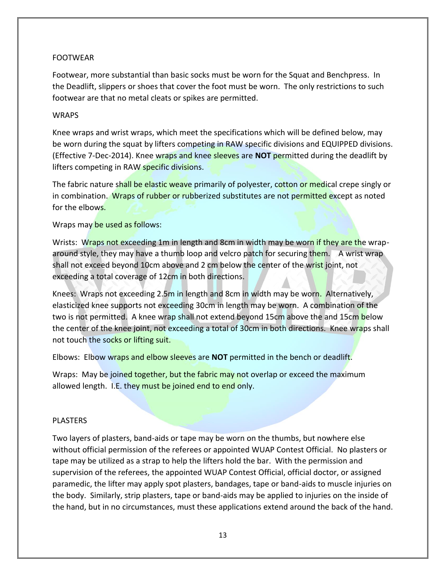## FOOTWEAR

Footwear, more substantial than basic socks must be worn for the Squat and Benchpress. In the Deadlift, slippers or shoes that cover the foot must be worn. The only restrictions to such footwear are that no metal cleats or spikes are permitted.

#### **WRAPS**

Knee wraps and wrist wraps, which meet the specifications which will be defined below, may be worn during the squat by lifters competing in RAW specific divisions and EQUIPPED divisions. (Effective 7-Dec-2014). Knee wraps and knee sleeves are **NOT** permitted during the deadlift by lifters competing in RAW specific divisions.

The fabric nature shall be elastic weave primarily of polyester, cotton or medical crepe singly or in combination. Wraps of rubber or rubberized substitutes are not permitted except as noted for the elbows.

Wraps may be used as follows:

Wrists: Wraps not exceeding 1m in length and 8cm in width may be worn if they are the wraparound style, they may have a thumb loop and velcro patch for securing them. A wrist wrap shall not exceed beyond 10cm above and 2 cm below the center of the wrist joint, not exceeding a total coverage of 12cm in both directions.

Knees: Wraps not exceeding 2.5m in length and 8cm in width may be worn. Alternatively, elasticized knee supports not exceeding 30cm in length may be worn. A combination of the two is not permitted. A knee wrap shall not extend beyond 15cm above the and 15cm below the center of the knee joint, not exceeding a total of 30cm in both directions. Knee wraps shall not touch the socks or lifting suit.

Elbows: Elbow wraps and elbow sleeves are **NOT** permitted in the bench or deadlift.

Wraps: May be joined together, but the fabric may not overlap or exceed the maximum allowed length. I.E. they must be joined end to end only.

#### PLASTERS

Two layers of plasters, band-aids or tape may be worn on the thumbs, but nowhere else without official permission of the referees or appointed WUAP Contest Official. No plasters or tape may be utilized as a strap to help the lifters hold the bar. With the permission and supervision of the referees, the appointed WUAP Contest Official, official doctor, or assigned paramedic, the lifter may apply spot plasters, bandages, tape or band-aids to muscle injuries on the body. Similarly, strip plasters, tape or band-aids may be applied to injuries on the inside of the hand, but in no circumstances, must these applications extend around the back of the hand.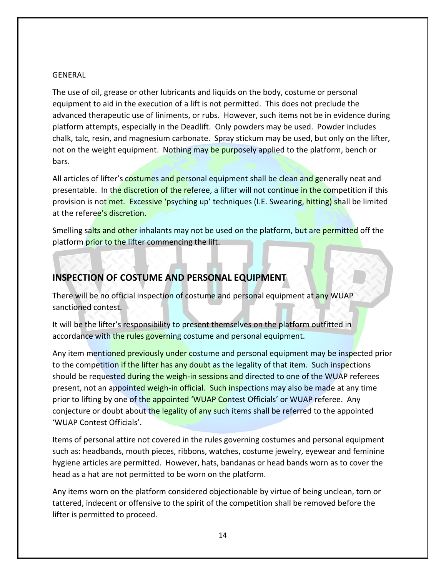#### GENERAL

The use of oil, grease or other lubricants and liquids on the body, costume or personal equipment to aid in the execution of a lift is not permitted. This does not preclude the advanced therapeutic use of liniments, or rubs. However, such items not be in evidence during platform attempts, especially in the Deadlift. Only powders may be used. Powder includes chalk, talc, resin, and magnesium carbonate. Spray stickum may be used, but only on the lifter, not on the weight equipment. Nothing may be purposely applied to the platform, bench or bars.

All articles of lifter's costumes and personal equipment shall be clean and generally neat and presentable. In the discretion of the referee, a lifter will not continue in the competition if this provision is not met. Excessive 'psyching up' techniques (I.E. Swearing, hitting) shall be limited at the referee's discretion.

Smelling salts and other inhalants may not be used on the platform, but are permitted off the platform prior to the lifter commencing the lift.

## **INSPECTION OF COSTUME AND PERSONAL EQUIPMENT**

There will be no official inspection of costume and personal equipment at any WUAP sanctioned contest.

It will be the lifter's responsibility to present themselves on the platform outfitted in accordance with the rules governing costume and personal equipment.

Any item mentioned previously under costume and personal equipment may be inspected prior to the competition if the lifter has any doubt as the legality of that item. Such inspections should be requested during the weigh-in sessions and directed to one of the WUAP referees present, not an appointed weigh-in official. Such inspections may also be made at any time prior to lifting by one of the appointed 'WUAP Contest Officials' or WUAP referee. Any conjecture or doubt about the legality of any such items shall be referred to the appointed 'WUAP Contest Officials'.

Items of personal attire not covered in the rules governing costumes and personal equipment such as: headbands, mouth pieces, ribbons, watches, costume jewelry, eyewear and feminine hygiene articles are permitted. However, hats, bandanas or head bands worn as to cover the head as a hat are not permitted to be worn on the platform.

Any items worn on the platform considered objectionable by virtue of being unclean, torn or tattered, indecent or offensive to the spirit of the competition shall be removed before the lifter is permitted to proceed.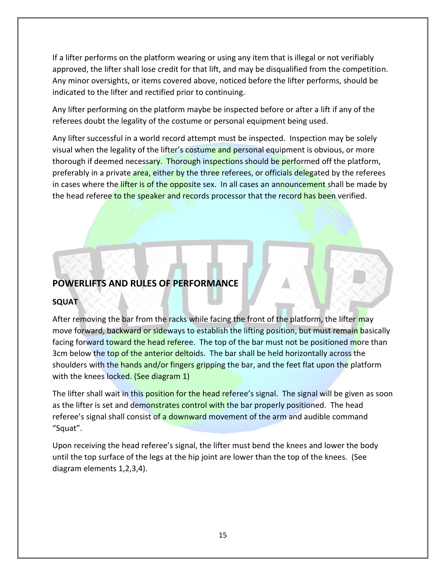If a lifter performs on the platform wearing or using any item that is illegal or not verifiably approved, the lifter shall lose credit for that lift, and may be disqualified from the competition. Any minor oversights, or items covered above, noticed before the lifter performs, should be indicated to the lifter and rectified prior to continuing.

Any lifter performing on the platform maybe be inspected before or after a lift if any of the referees doubt the legality of the costume or personal equipment being used.

Any lifter successful in a world record attempt must be inspected. Inspection may be solely visual when the legality of the lifter's costume and personal equipment is obvious, or more thorough if deemed necessary. Thorough inspections should be performed off the platform, preferably in a private area, either by the three referees, or officials delegated by the referees in cases where the lifter is of the opposite sex. In all cases an announcement shall be made by the head referee to the speaker and records processor that the record has been verified.

# **POWERLIFTS AND RULES OF PERFORMANCE**

## **SQUAT**

After removing the bar from the racks while facing the front of the platform, the lifter may move forward, backward or sideways to establish the lifting position, but must remain basically facing forward toward the head referee. The top of the bar must not be positioned more than 3cm below the top of the anterior deltoids. The bar shall be held horizontally across the shoulders with the hands and/or fingers gripping the bar, and the feet flat upon the platform with the knees locked. (See diagram 1)

The lifter shall wait in this position for the head referee's signal. The signal will be given as soon as the lifter is set and demonstrates control with the bar properly positioned. The head referee's signal shall consist of a downward movement of the arm and audible command "Squat".

Upon receiving the head referee's signal, the lifter must bend the knees and lower the body until the top surface of the legs at the hip joint are lower than the top of the knees. (See diagram elements 1,2,3,4).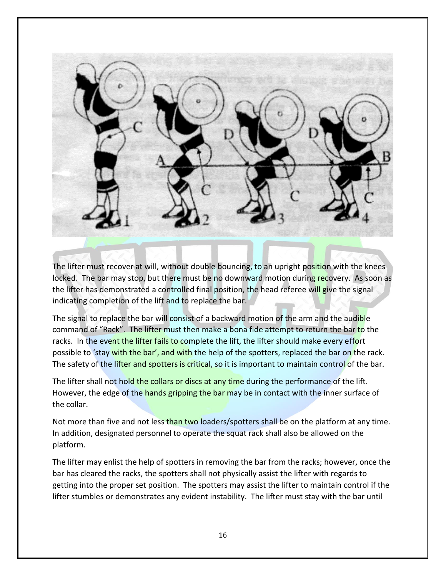

The lifter must recover at will, without double bouncing, to an upright position with the knees locked. The bar may stop, but there must be no downward motion during recovery. As soon as the lifter has demonstrated a controlled final position, the head referee will give the signal indicating completion of the lift and to replace the bar.

The signal to replace the bar will consist of a backward motion of the arm and the audible command of "Rack". The lifter must then make a bona fide attempt to return the bar to the racks. In the event the lifter fails to complete the lift, the lifter should make every effort possible to 'stay with the bar', and with the help of the spotters, replaced the bar on the rack. The safety of the lifter and spotters is critical, so it is important to maintain control of the bar.

The lifter shall not hold the collars or discs at any time during the performance of the lift. However, the edge of the hands gripping the bar may be in contact with the inner surface of the collar.

Not more than five and not less than two loaders/spotters shall be on the platform at any time. In addition, designated personnel to operate the squat rack shall also be allowed on the platform.

The lifter may enlist the help of spotters in removing the bar from the racks; however, once the bar has cleared the racks, the spotters shall not physically assist the lifter with regards to getting into the proper set position. The spotters may assist the lifter to maintain control if the lifter stumbles or demonstrates any evident instability. The lifter must stay with the bar until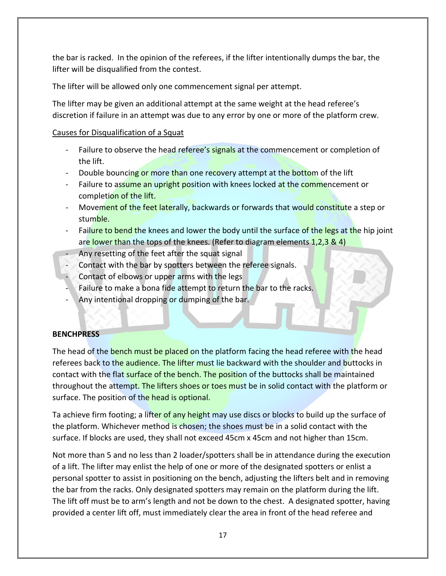the bar is racked. In the opinion of the referees, if the lifter intentionally dumps the bar, the lifter will be disqualified from the contest.

The lifter will be allowed only one commencement signal per attempt.

The lifter may be given an additional attempt at the same weight at the head referee's discretion if failure in an attempt was due to any error by one or more of the platform crew.

## Causes for Disqualification of a Squat

- Failure to observe the head referee's signals at the commencement or completion of the lift.
- Double bouncing or more than one recovery attempt at the bottom of the lift
- Failure to assume an upright position with knees locked at the commencement or completion of the lift.
- Movement of the feet laterally, backwards or forwards that would constitute a step or stumble.
- Failure to bend the knees and lower the body until the surface of the legs at the hip joint are lower than the tops of the knees. (Refer to diagram elements  $1,2,3,8,4$ )
- Any resetting of the feet after the squat signal
- Contact with the bar by spotters between the referee signals.
- Contact of elbows or upper arms with the legs
- Failure to make a bona fide attempt to return the bar to the racks.
- Any intentional dropping or dumping of the bar.

## **BENCHPRESS**

The head of the bench must be placed on the platform facing the head referee with the head referees back to the audience. The lifter must lie backward with the shoulder and buttocks in contact with the flat surface of the bench. The position of the buttocks shall be maintained throughout the attempt. The lifters shoes or toes must be in solid contact with the platform or surface. The position of the head is optional.

Ta achieve firm footing; a lifter of any height may use discs or blocks to build up the surface of the platform. Whichever method is chosen; the shoes must be in a solid contact with the surface. If blocks are used, they shall not exceed 45cm x 45cm and not higher than 15cm.

Not more than 5 and no less than 2 loader/spotters shall be in attendance during the execution of a lift. The lifter may enlist the help of one or more of the designated spotters or enlist a personal spotter to assist in positioning on the bench, adjusting the lifters belt and in removing the bar from the racks. Only designated spotters may remain on the platform during the lift. The lift off must be to arm's length and not be down to the chest. A designated spotter, having provided a center lift off, must immediately clear the area in front of the head referee and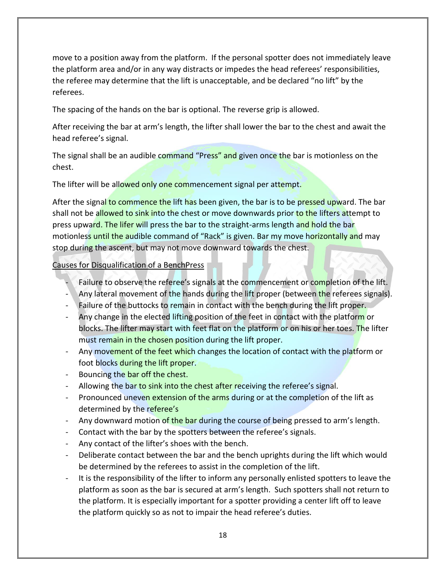move to a position away from the platform. If the personal spotter does not immediately leave the platform area and/or in any way distracts or impedes the head referees' responsibilities, the referee may determine that the lift is unacceptable, and be declared "no lift" by the referees.

The spacing of the hands on the bar is optional. The reverse grip is allowed.

After receiving the bar at arm's length, the lifter shall lower the bar to the chest and await the head referee's signal.

The signal shall be an audible command "Press" and given once the bar is motionless on the chest.

The lifter will be allowed only one commencement signal per attempt.

After the signal to commence the lift has been given, the bar is to be pressed upward. The bar shall not be allowed to sink into the chest or move downwards prior to the lifters attempt to press upward. The lifer will press the bar to the straight-arms length and hold the bar motionless until the audible command of "Rack" is given. Bar my move horizontally and may stop during the ascent, but may not move downward towards the chest.

Causes for Disqualification of a BenchPress

- Failure to observe the referee's signals at the commencement or completion of the lift.
- Any lateral movement of the hands during the lift proper (between the referees signals).
- Failure of the buttocks to remain in contact with the bench during the lift proper.
- Any change in the elected lifting position of the feet in contact with the platform or blocks. The lifter may start with feet flat on the platform or on his or her toes. The lifter must remain in the chosen position during the lift proper.
- Any movement of the feet which changes the location of contact with the platform or foot blocks during the lift proper.
- Bouncing the bar off the chest.
- Allowing the bar to sink into the chest after receiving the referee's signal.
- Pronounced uneven extension of the arms during or at the completion of the lift as determined by the referee's
- Any downward motion of the bar during the course of being pressed to arm's length.
- Contact with the bar by the spotters between the referee's signals.
- Any contact of the lifter's shoes with the bench.
- Deliberate contact between the bar and the bench uprights during the lift which would be determined by the referees to assist in the completion of the lift.
- It is the responsibility of the lifter to inform any personally enlisted spotters to leave the platform as soon as the bar is secured at arm's length. Such spotters shall not return to the platform. It is especially important for a spotter providing a center lift off to leave the platform quickly so as not to impair the head referee's duties.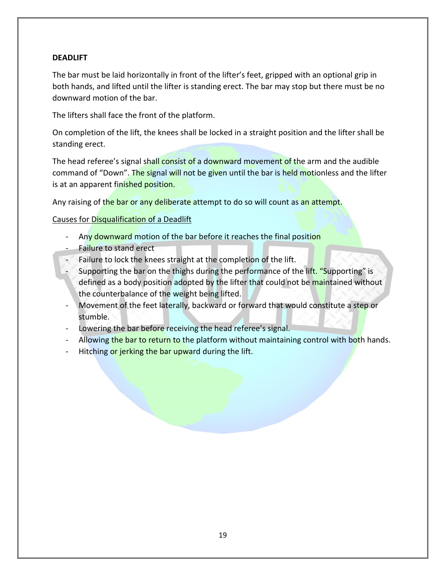## **DEADLIFT**

The bar must be laid horizontally in front of the lifter's feet, gripped with an optional grip in both hands, and lifted until the lifter is standing erect. The bar may stop but there must be no downward motion of the bar.

The lifters shall face the front of the platform.

On completion of the lift, the knees shall be locked in a straight position and the lifter shall be standing erect.

The head referee's signal shall consist of a downward movement of the arm and the audible command of "Down". The signal will not be given until the bar is held motionless and the lifter is at an apparent finished position.

Any raising of the bar or any deliberate attempt to do so will count as an attempt.

## Causes for Disqualification of a Deadlift

- Any downward motion of the bar before it reaches the final position
- Failure to stand erect
- Failure to lock the knees straight at the completion of the lift.
- Supporting the bar on the thighs during the performance of the lift. "Supporting" is defined as a body position adopted by the lifter that could not be maintained without the counterbalance of the weight being lifted.
- Movement of the feet laterally, backward or forward that would constitute a step or stumble.
- Lowering the bar before receiving the head referee's signal.
- Allowing the bar to return to the platform without maintaining control with both hands.
- Hitching or jerking the bar upward during the lift.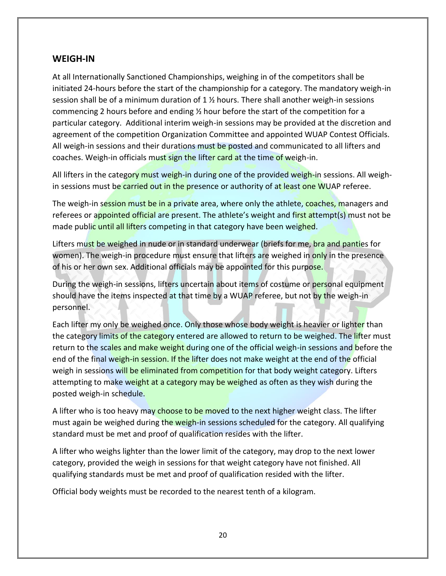## **WEIGH-IN**

At all Internationally Sanctioned Championships, weighing in of the competitors shall be initiated 24-hours before the start of the championship for a category. The mandatory weigh-in session shall be of a minimum duration of 1 ½ hours. There shall another weigh-in sessions commencing 2 hours before and ending ½ hour before the start of the competition for a particular category. Additional interim weigh-in sessions may be provided at the discretion and agreement of the competition Organization Committee and appointed WUAP Contest Officials. All weigh-in sessions and their durations must be posted and communicated to all lifters and coaches. Weigh-in officials must sign the lifter card at the time of weigh-in.

All lifters in the category must weigh-in during one of the provided weigh-in sessions. All weighin sessions must be carried out in the presence or authority of at least one WUAP referee.

The weigh-in session must be in a private area, where only the athlete, coaches, managers and referees or appointed official are present. The athlete's weight and first attempt(s) must not be made public until all lifters competing in that category have been weighed.

Lifters must be weighed in nude or in standard underwear (briefs for me, bra and panties for women). The weigh-in procedure must ensure that lifters are weighed in only in the presence of his or her own sex. Additional officials may be appointed for this purpose.

During the weigh-in sessions, lifters uncertain about items of costume or personal equipment should have the items inspected at that time by a WUAP referee, but not by the weigh-in personnel.

Each lifter my only be weighed once. Only those whose body weight is heavier or lighter than the category limits of the category entered are allowed to return to be weighed. The lifter must return to the scales and make weight during one of the official weigh-in sessions and before the end of the final weigh-in session. If the lifter does not make weight at the end of the official weigh in sessions will be eliminated from competition for that body weight category. Lifters attempting to make weight at a category may be weighed as often as they wish during the posted weigh-in schedule.

A lifter who is too heavy may choose to be moved to the next higher weight class. The lifter must again be weighed during the weigh-in sessions scheduled for the category. All qualifying standard must be met and proof of qualification resides with the lifter.

A lifter who weighs lighter than the lower limit of the category, may drop to the next lower category, provided the weigh in sessions for that weight category have not finished. All qualifying standards must be met and proof of qualification resided with the lifter.

Official body weights must be recorded to the nearest tenth of a kilogram.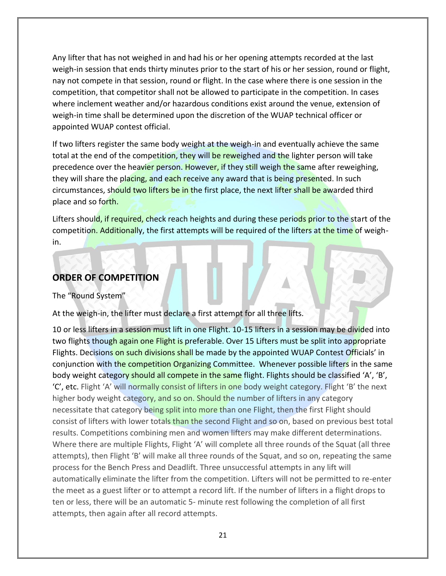Any lifter that has not weighed in and had his or her opening attempts recorded at the last weigh-in session that ends thirty minutes prior to the start of his or her session, round or flight, nay not compete in that session, round or flight. In the case where there is one session in the competition, that competitor shall not be allowed to participate in the competition. In cases where inclement weather and/or hazardous conditions exist around the venue, extension of weigh-in time shall be determined upon the discretion of the WUAP technical officer or appointed WUAP contest official.

If two lifters register the same body weight at the weigh-in and eventually achieve the same total at the end of the competition, they will be reweighed and the lighter person will take precedence over the heavier person. However, if they still weigh the same after reweighing, they will share the placing, and each receive any award that is being presented. In such circumstances, should two lifters be in the first place, the next lifter shall be awarded third place and so forth.

Lifters should, if required, check reach heights and during these periods prior to the start of the competition. Additionally, the first attempts will be required of the lifters at the time of weighin.

## **ORDER OF COMPETITION**

#### The "Round System"

At the weigh-in, the lifter must declare a first attempt for all three lifts.

10 or less lifters in a session must lift in one Flight. 10-15 lifters in a session may be divided into two flights though again one Flight is preferable. Over 15 Lifters must be split into appropriate Flights. Decisions on such divisions shall be made by the appointed WUAP Contest Officials' in conjunction with the competition Organizing Committee. Whenever possible lifters in the same body weight category should all compete in the same flight. Flights should be classified 'A', 'B', 'C', etc. Flight 'A' will normally consist of lifters in one body weight category. Flight 'B' the next higher body weight category, and so on. Should the number of lifters in any category necessitate that category being split into more than one Flight, then the first Flight should consist of lifters with lower totals than the second Flight and so on, based on previous best total results. Competitions combining men and women lifters may make different determinations. Where there are multiple Flights, Flight 'A' will complete all three rounds of the Squat (all three attempts), then Flight 'B' will make all three rounds of the Squat, and so on, repeating the same process for the Bench Press and Deadlift. Three unsuccessful attempts in any lift will automatically eliminate the lifter from the competition. Lifters will not be permitted to re-enter the meet as a guest lifter or to attempt a record lift. If the number of lifters in a flight drops to ten or less, there will be an automatic 5- minute rest following the completion of all first attempts, then again after all record attempts.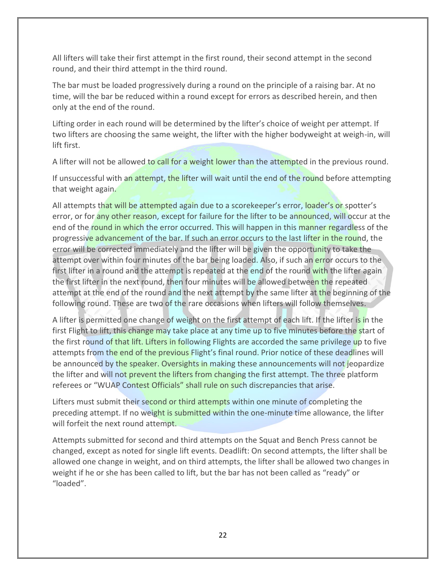All lifters will take their first attempt in the first round, their second attempt in the second round, and their third attempt in the third round.

The bar must be loaded progressively during a round on the principle of a raising bar. At no time, will the bar be reduced within a round except for errors as described herein, and then only at the end of the round.

Lifting order in each round will be determined by the lifter's choice of weight per attempt. If two lifters are choosing the same weight, the lifter with the higher bodyweight at weigh-in, will lift first.

A lifter will not be allowed to call for a weight lower than the attempted in the previous round.

If unsuccessful with an attempt, the lifter will wait until the end of the round before attempting that weight again.

All attempts that will be attempted again due to a scorekeeper's error, loader's or spotter's error, or for any other reason, except for failure for the lifter to be announced, will occur at the end of the round in which the error occurred. This will happen in this manner regardless of the progressive advancement of the bar. If such an error occurs to the last lifter in the round, the error will be corrected immediately and the lifter will be given the opportunity to take the attempt over within four minutes of the bar being loaded. Also, if such an error occurs to the first lifter in a round and the attempt is repeated at the end of the round with the lifter again the first lifter in the next round, then four minutes will be allowed between the repeated attempt at the end of the round and the next attempt by the same lifter at the beginning of the following round. These are two of the rare occasions when lifters will follow themselves.

A lifter is permitted one change of weight on the first attempt of each lift. If the lifter is in the first Flight to lift, this change may take place at any time up to five minutes before the start of the first round of that lift. Lifters in following Flights are accorded the same privilege up to five attempts from the end of the previous Flight's final round. Prior notice of these deadlines will be announced by the speaker. Oversights in making these announcements will not jeopardize the lifter and will not prevent the lifters from changing the first attempt. The three platform referees or "WUAP Contest Officials" shall rule on such discrepancies that arise.

Lifters must submit their second or third attempts within one minute of completing the preceding attempt. If no weight is submitted within the one-minute time allowance, the lifter will forfeit the next round attempt.

Attempts submitted for second and third attempts on the Squat and Bench Press cannot be changed, except as noted for single lift events. Deadlift: On second attempts, the lifter shall be allowed one change in weight, and on third attempts, the lifter shall be allowed two changes in weight if he or she has been called to lift, but the bar has not been called as "ready" or "loaded".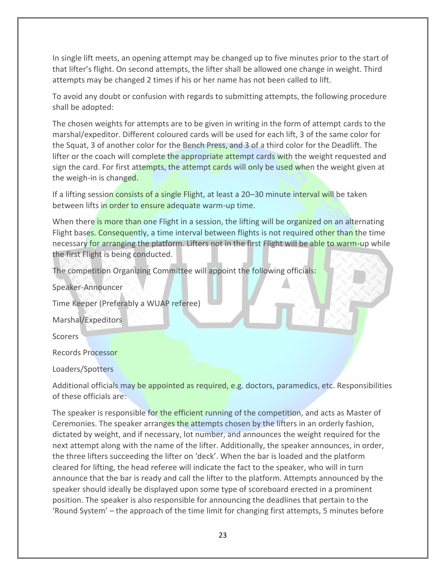In single lift meets, an opening attempt may be changed up to five minutes prior to the start of that lifter's flight. On second attempts, the lifter shall be allowed one change in weight. Third attempts may be changed 2 times if his or her name has not been called to lift.

To avoid any doubt or confusion with regards to submitting attempts, the following procedure shall be adopted:

The chosen weights for attempts are to be given in writing in the form of attempt cards to the marshal/expeditor. Different coloured cards will be used for each lift, 3 of the same color for the Squat, 3 of another color for the Bench Press, and 3 of a third color for the Deadlift. The lifter or the coach will complete the appropriate attempt cards with the weight requested and sign the card. For first attempts, the attempt cards will only be used when the weight given at the weigh-in is changed.

If a lifting session consists of a single Flight, at least a 20–30 minute interval will be taken between lifts in order to ensure adequate warm-up time.

When there is more than one Flight in a session, the lifting will be organized on an alternating Flight bases. Consequently, a time interval between flights is not required other than the time necessary for arranging the platform. Lifters not in the first Flight will be able to warm-up while the first Flight is being conducted.

The competition Organizing Committee will appoint the following officials:

Speaker-Announcer

Time Keeper (Preferably a WUAP referee)

Marshal/Expeditors

Scorers

Records Processor

Loaders/Spotters

Additional officials may be appointed as required, e.g. doctors, paramedics, etc. Responsibilities of these officials are:

The speaker is responsible for the efficient running of the competition, and acts as Master of Ceremonies. The speaker arranges the attempts chosen by the lifters in an orderly fashion, dictated by weight, and if necessary, lot number, and announces the weight required for the next attempt along with the name of the lifter. Additionally, the speaker announces, in order, the three lifters succeeding the lifter on 'deck'. When the bar is loaded and the platform cleared for lifting, the head referee will indicate the fact to the speaker, who will in turn announce that the bar is ready and call the lifter to the platform. Attempts announced by the speaker should ideally be displayed upon some type of scoreboard erected in a prominent position. The speaker is also responsible for announcing the deadlines that pertain to the 'Round System' – the approach of the time limit for changing first attempts, 5 minutes before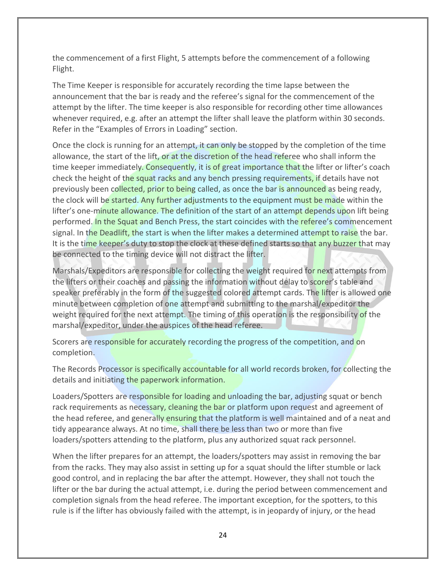the commencement of a first Flight, 5 attempts before the commencement of a following Flight.

The Time Keeper is responsible for accurately recording the time lapse between the announcement that the bar is ready and the referee's signal for the commencement of the attempt by the lifter. The time keeper is also responsible for recording other time allowances whenever required, e.g. after an attempt the lifter shall leave the platform within 30 seconds. Refer in the "Examples of Errors in Loading" section.

Once the clock is running for an attempt, it can only be stopped by the completion of the time allowance, the start of the lift, or at the discretion of the head referee who shall inform the time keeper immediately. Consequently, it is of great importance that the lifter or lifter's coach check the height of the squat racks and any bench pressing requirements, if details have not previously been collected, prior to being called, as once the bar is announced as being ready, the clock will be started. Any further adjustments to the equipment must be made within the lifter's one-minute allowance. The definition of the start of an attempt depends upon lift being performed. In the Squat and Bench Press, the start coincides with the referee's commencement signal. In the Deadlift, the start is when the lifter makes a determined attempt to raise the bar. It is the time keeper's duty to stop the clock at these defined starts so that any buzzer that may be connected to the timing device will not distract the lifter.

Marshals/Expeditors are responsible for collecting the weight required for next attempts from the lifters or their coaches and passing the information without delay to scorer's table and speaker preferably in the form of the suggested colored attempt cards. The lifter is allowed one minute between completion of one attempt and submitting to the marshal/expeditor the weight required for the next attempt. The timing of this operation is the responsibility of the marshal/expeditor, under the auspices of the head referee.

Scorers are responsible for accurately recording the progress of the competition, and on completion.

The Records Processor is specifically accountable for all world records broken, for collecting the details and initiating the paperwork information.

Loaders/Spotters are responsible for loading and unloading the bar, adjusting squat or bench rack requirements as necessary, cleaning the bar or platform upon request and agreement of the head referee, and generally ensuring that the platform is well maintained and of a neat and tidy appearance always. At no time, shall there be less than two or more than five loaders/spotters attending to the platform, plus any authorized squat rack personnel.

When the lifter prepares for an attempt, the loaders/spotters may assist in removing the bar from the racks. They may also assist in setting up for a squat should the lifter stumble or lack good control, and in replacing the bar after the attempt. However, they shall not touch the lifter or the bar during the actual attempt, i.e. during the period between commencement and completion signals from the head referee. The important exception, for the spotters, to this rule is if the lifter has obviously failed with the attempt, is in jeopardy of injury, or the head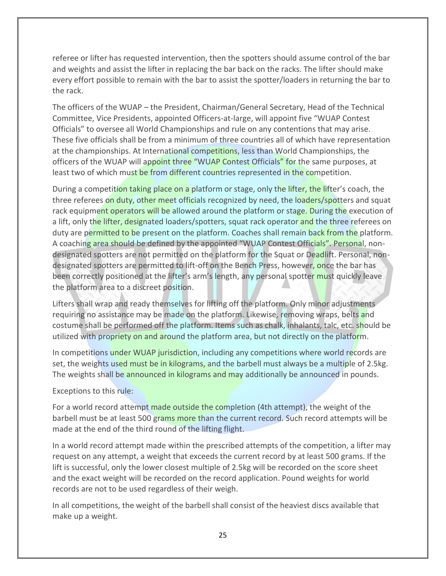referee or lifter has requested intervention, then the spotters should assume control of the bar and weights and assist the lifter in replacing the bar back on the racks. The lifter should make every effort possible to remain with the bar to assist the spotter/loaders in returning the bar to the rack.

The officers of the WUAP – the President, Chairman/General Secretary, Head of the Technical Committee, Vice Presidents, appointed Officers-at-large, will appoint five "WUAP Contest Officials" to oversee all World Championships and rule on any contentions that may arise. These five officials shall be from a minimum of three countries all of which have representation at the championships. At International competitions, less than World Championships, the officers of the WUAP will appoint three "WUAP Contest Officials" for the same purposes, at least two of which must be from different countries represented in the competition.

During a competition taking place on a platform or stage, only the lifter, the lifter's coach, the three referees on duty, other meet officials recognized by need, the loaders/spotters and squat rack equipment operators will be allowed around the platform or stage. During the execution of a lift, only the lifter, designated loaders/spotters, squat rack operator and the three referees on duty are permitted to be present on the platform. Coaches shall remain back from the platform. A coaching area should be defined by the appointed "WUAP Contest Officials". Personal, nondesignated spotters are not permitted on the platform for the Squat or Deadlift. Personal, nondesignated spotters are permitted to lift-off on the Bench Press, however, once the bar has been correctly positioned at the lifter's arm's length, any personal spotter must quickly leave the platform area to a discreet position.

Lifters shall wrap and ready themselves for lifting off the platform. Only minor adjustments requiring no assistance may be made on the platform. Likewise, removing wraps, belts and costume shall be performed off the platform. Items such as chalk, inhalants, talc, etc. should be utilized with propriety on and around the platform area, but not directly on the platform.

In competitions under WUAP jurisdiction, including any competitions where world records are set, the weights used must be in kilograms, and the barbell must always be a multiple of 2.5kg. The weights shall be announced in kilograms and may additionally be announced in pounds.

Exceptions to this rule:

For a world record attempt made outside the completion (4th attempt), the weight of the barbell must be at least 500 grams more than the current record. Such record attempts will be made at the end of the third round of the lifting flight.

In a world record attempt made within the prescribed attempts of the competition, a lifter may request on any attempt, a weight that exceeds the current record by at least 500 grams. If the lift is successful, only the lower closest multiple of 2.5kg will be recorded on the score sheet and the exact weight will be recorded on the record application. Pound weights for world records are not to be used regardless of their weigh.

In all competitions, the weight of the barbell shall consist of the heaviest discs available that make up a weight.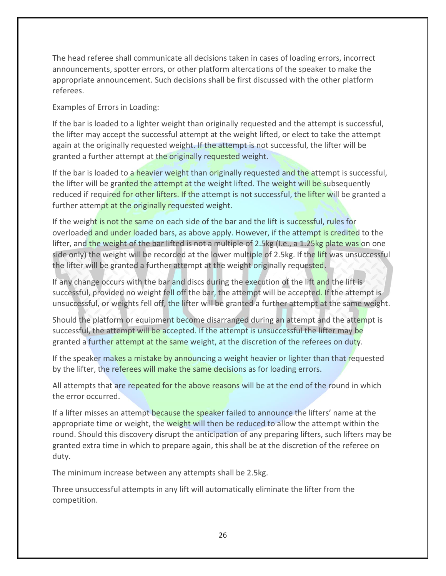The head referee shall communicate all decisions taken in cases of loading errors, incorrect announcements, spotter errors, or other platform altercations of the speaker to make the appropriate announcement. Such decisions shall be first discussed with the other platform referees.

Examples of Errors in Loading:

If the bar is loaded to a lighter weight than originally requested and the attempt is successful, the lifter may accept the successful attempt at the weight lifted, or elect to take the attempt again at the originally requested weight. If the attempt is not successful, the lifter will be granted a further attempt at the originally requested weight.

If the bar is loaded to a heavier weight than originally requested and the attempt is successful, the lifter will be granted the attempt at the weight lifted. The weight will be subsequently reduced if required for other lifters. If the attempt is not successful, the lifter will be granted a further attempt at the originally requested weight.

If the weight is not the same on each side of the bar and the lift is successful, rules for overloaded and under loaded bars, as above apply. However, if the attempt is credited to the lifter, and the weight of the bar lifted is not a multiple of 2.5kg (I.e., a 1.25kg plate was on one side only) the weight will be recorded at the lower multiple of 2.5kg. If the lift was unsuccessful the lifter will be granted a further attempt at the weight originally requested.

If any change occurs with the bar and discs during the execution of the lift and the lift is successful, provided no weight fell off the bar, the attempt will be accepted. If the attempt is unsuccessful, or weights fell off, the lifter will be granted a further attempt at the same weight.

Should the platform or equipment become disarranged during an attempt and the attempt is successful, the attempt will be accepted. If the attempt is unsuccessful the lifter may be granted a further attempt at the same weight, at the discretion of the referees on duty.

If the speaker makes a mistake by announcing a weight heavier or lighter than that requested by the lifter, the referees will make the same decisions as for loading errors.

All attempts that are repeated for the above reasons will be at the end of the round in which the error occurred.

If a lifter misses an attempt because the speaker failed to announce the lifters' name at the appropriate time or weight, the weight will then be reduced to allow the attempt within the round. Should this discovery disrupt the anticipation of any preparing lifters, such lifters may be granted extra time in which to prepare again, this shall be at the discretion of the referee on duty.

The minimum increase between any attempts shall be 2.5kg.

Three unsuccessful attempts in any lift will automatically eliminate the lifter from the competition.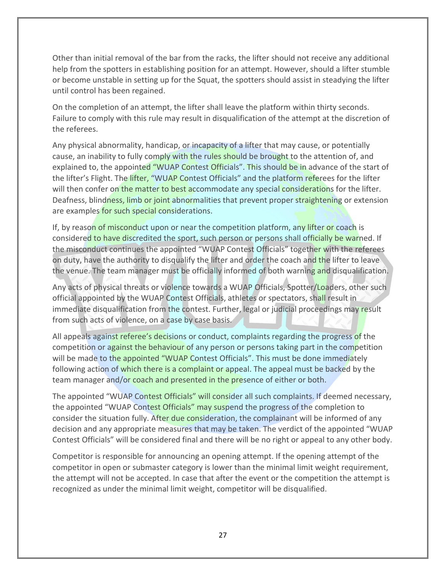Other than initial removal of the bar from the racks, the lifter should not receive any additional help from the spotters in establishing position for an attempt. However, should a lifter stumble or become unstable in setting up for the Squat, the spotters should assist in steadying the lifter until control has been regained.

On the completion of an attempt, the lifter shall leave the platform within thirty seconds. Failure to comply with this rule may result in disqualification of the attempt at the discretion of the referees.

Any physical abnormality, handicap, or incapacity of a lifter that may cause, or potentially cause, an inability to fully comply with the rules should be brought to the attention of, and explained to, the appointed "WUAP Contest Officials". This should be in advance of the start of the lifter's Flight. The lifter, "WUAP Contest Officials" and the platform referees for the lifter will then confer on the matter to best accommodate any special considerations for the lifter. Deafness, blindness, limb or joint abnormalities that prevent proper straightening or extension are examples for such special considerations.

If, by reason of misconduct upon or near the competition platform, any lifter or coach is considered to have discredited the sport, such person or persons shall officially be warned. If the misconduct continues the appointed "WUAP Contest Officials" together with the referees on duty, have the authority to disqualify the lifter and order the coach and the lifter to leave the venue. The team manager must be officially informed of both warning and disqualification.

Any acts of physical threats or violence towards a WUAP Officials, Spotter/Loaders, other such official appointed by the WUAP Contest Officials, athletes or spectators, shall result in immediate disqualification from the contest. Further, legal or judicial proceedings may result from such acts of violence, on a case by case basis.

All appeals against referee's decisions or conduct, complaints regarding the progress of the competition or against the behaviour of any person or persons taking part in the competition will be made to the appointed "WUAP Contest Officials". This must be done immediately following action of which there is a complaint or appeal. The appeal must be backed by the team manager and/or coach and presented in the presence of either or both.

The appointed "WUAP Contest Officials" will consider all such complaints. If deemed necessary, the appointed "WUAP Contest Officials" may suspend the progress of the completion to consider the situation fully. After due consideration, the complainant will be informed of any decision and any appropriate measures that may be taken. The verdict of the appointed "WUAP Contest Officials" will be considered final and there will be no right or appeal to any other body.

Competitor is responsible for announcing an opening attempt. If the opening attempt of the competitor in open or submaster category is lower than the minimal limit weight requirement, the attempt will not be accepted. In case that after the event or the competition the attempt is recognized as under the minimal limit weight, competitor will be disqualified.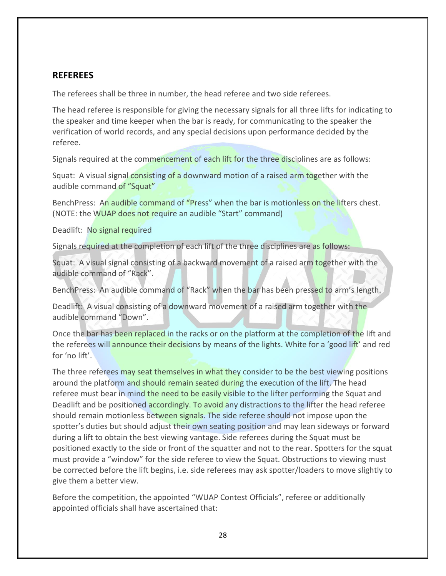## **REFEREES**

The referees shall be three in number, the head referee and two side referees.

The head referee is responsible for giving the necessary signals for all three lifts for indicating to the speaker and time keeper when the bar is ready, for communicating to the speaker the verification of world records, and any special decisions upon performance decided by the referee.

Signals required at the commencement of each lift for the three disciplines are as follows:

Squat: A visual signal consisting of a downward motion of a raised arm together with the audible command of "Squat"

BenchPress: An audible command of "Press" when the bar is motionless on the lifters chest. (NOTE: the WUAP does not require an audible "Start" command)

Deadlift: No signal required

Signals required at the completion of each lift of the three disciplines are as follows:

Squat: A visual signal consisting of a backward movement of a raised arm **together with the** audible command of "Rack".

BenchPress: An audible command of "Rack" when the bar has been pressed to arm's length.

Deadlift: A visual consisting of a downward movement of a raised arm together with the audible command "Down".

Once the bar has been replaced in the racks or on the platform at the completion of the lift and the referees will announce their decisions by means of the lights. White for a 'good lift' and red for 'no lift'.

The three referees may seat themselves in what they consider to be the best viewing positions around the platform and should remain seated during the execution of the lift. The head referee must bear in mind the need to be easily visible to the lifter performing the Squat and Deadlift and be positioned accordingly. To avoid any distractions to the lifter the head referee should remain motionless between signals. The side referee should not impose upon the spotter's duties but should adjust their own seating position and may lean sideways or forward during a lift to obtain the best viewing vantage. Side referees during the Squat must be positioned exactly to the side or front of the squatter and not to the rear. Spotters for the squat must provide a "window" for the side referee to view the Squat. Obstructions to viewing must be corrected before the lift begins, i.e. side referees may ask spotter/loaders to move slightly to give them a better view.

Before the competition, the appointed "WUAP Contest Officials", referee or additionally appointed officials shall have ascertained that: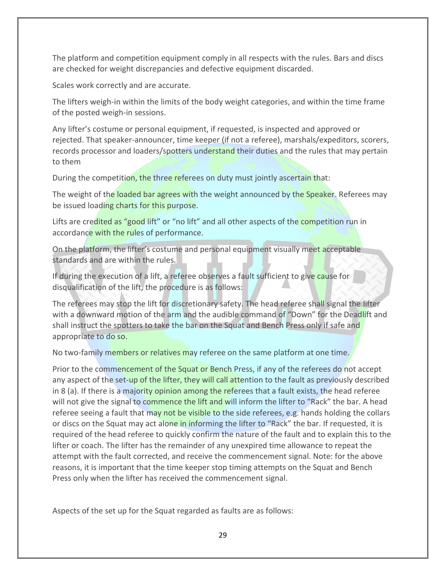The platform and competition equipment comply in all respects with the rules. Bars and discs are checked for weight discrepancies and defective equipment discarded.

Scales work correctly and are accurate.

The lifters weigh-in within the limits of the body weight categories, and within the time frame of the posted weigh-in sessions.

Any lifter's costume or personal equipment, if requested, is inspected and approved or rejected. That speaker-announcer, time keeper (if not a referee), marshals/expeditors, scorers, records processor and loaders/spotters understand their duties and the rules that may pertain to them

During the competition, the three referees on duty must jointly ascertain that:

The weight of the loaded bar agrees with the weight announced by the Speaker. Referees may be issued loading charts for this purpose.

Lifts are credited as "good lift" or "no lift" and all other aspects of the competition run in accordance with the rules of performance.

On the platform, the lifter's costume and personal equipment visually meet acceptable standards and are within the rules.

If during the execution of a lift, a referee observes a fault sufficient to give cause for disqualification of the lift, the procedure is as follows:

The referees may stop the lift for discretionary safety. The head referee shall signal the lifter with a downward motion of the arm and the audible command of "Down" for the Deadlift and shall instruct the spotters to take the bar on the Squat and Bench Press only if safe and appropriate to do so.

No two-family members or relatives may referee on the same platform at one time.

Prior to the commencement of the Squat or Bench Press, if any of the referees do not accept any aspect of the set-up of the lifter, they will call attention to the fault as previously described in 8 (a). If there is a majority opinion among the referees that a fault exists, the head referee will not give the signal to commence the lift and will inform the lifter to "Rack" the bar. A head referee seeing a fault that may not be visible to the side referees, e.g. hands holding the collars or discs on the Squat may act alone in informing the lifter to "Rack" the bar. If requested, it is required of the head referee to quickly confirm the nature of the fault and to explain this to the lifter or coach. The lifter has the remainder of any unexpired time allowance to repeat the attempt with the fault corrected, and receive the commencement signal. Note: for the above reasons, it is important that the time keeper stop timing attempts on the Squat and Bench Press only when the lifter has received the commencement signal.

Aspects of the set up for the Squat regarded as faults are as follows: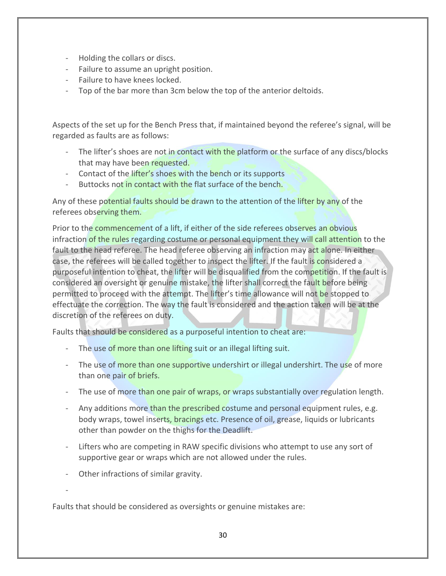- Holding the collars or discs.
- Failure to assume an upright position.
- Failure to have knees locked.
- Top of the bar more than 3cm below the top of the anterior deltoids.

Aspects of the set up for the Bench Press that, if maintained beyond the referee's signal, will be regarded as faults are as follows:

- The lifter's shoes are not in contact with the platform or the surface of any discs/blocks that may have been requested.
- Contact of the lifter's shoes with the bench or its supports
- Buttocks not in contact with the flat surface of the bench.

Any of these potential faults should be drawn to the attention of the lifter by any of the referees observing them.

Prior to the commencement of a lift, if either of the side referees observes an obvious infraction of the rules regarding costume or personal equipment they will call attention to the fault to the head referee. The head referee observing an infraction may act alone. In either case, the referees will be called together to inspect the lifter. If the fault is considered a purposeful intention to cheat, the lifter will be disqualified from the competition. If the fault is considered an oversight or genuine mistake, the lifter shall correct the fault before being permitted to proceed with the attempt. The lifter's time allowance will not be stopped to effectuate the correction. The way the fault is considered and the action taken will be at the discretion of the referees on duty.

Faults that should be considered as a purposeful intention to cheat are:

- The use of more than one lifting suit or an illegal lifting suit.
- The use of more than one supportive undershirt or illegal undershirt. The use of more than one pair of briefs.
- The use of more than one pair of wraps, or wraps substantially over regulation length.
- Any additions more than the prescribed costume and personal equipment rules, e.g. body wraps, towel inserts, bracings etc. Presence of oil, grease, liquids or lubricants other than powder on the thighs for the Deadlift.
- Lifters who are competing in RAW specific divisions who attempt to use any sort of supportive gear or wraps which are not allowed under the rules.
- Other infractions of similar gravity.

-

Faults that should be considered as oversights or genuine mistakes are: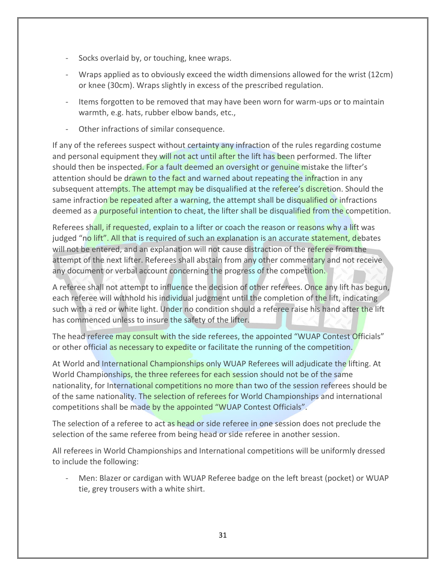- Socks overlaid by, or touching, knee wraps.
- Wraps applied as to obviously exceed the width dimensions allowed for the wrist (12cm) or knee (30cm). Wraps slightly in excess of the prescribed regulation.
- Items forgotten to be removed that may have been worn for warm-ups or to maintain warmth, e.g. hats, rubber elbow bands, etc.,
- Other infractions of similar consequence.

If any of the referees suspect without certainty any infraction of the rules regarding costume and personal equipment they will not act until after the lift has been performed. The lifter should then be inspected. For a fault deemed an oversight or genuine mistake the lifter's attention should be drawn to the fact and warned about repeating the infraction in any subsequent attempts. The attempt may be disqualified at the referee's discretion. Should the same infraction be repeated after a warning, the attempt shall be disqualified or infractions deemed as a purposeful intention to cheat, the lifter shall be disqualified from the competition.

Referees shall, if requested, explain to a lifter or coach the reason or reasons why a lift was judged "no lift". All that is required of such an explanation is an accurate statement, debates will not be entered, and an explanation will not cause distraction of the referee from the attempt of the next lifter. Referees shall abstain from any other commentary and not receive any document or verbal account concerning the progress of the competition.

A referee shall not attempt to influence the decision of other referees. Once any lift has begun, each referee will withhold his individual judgment until the completion of the lift, indicating such with a red or white light. Under no condition should a referee raise his hand after the lift has commenced unless to insure the safety of the lifter.

The head referee may consult with the side referees, the appointed "WUAP Contest Officials" or other official as necessary to expedite or facilitate the running of the competition.

At World and International Championships only WUAP Referees will adjudicate the lifting. At World Championships, the three referees for each session should not be of the same nationality, for International competitions no more than two of the session referees should be of the same nationality. The selection of referees for World Championships and international competitions shall be made by the appointed "WUAP Contest Officials".

The selection of a referee to act as head or side referee in one session does not preclude the selection of the same referee from being head or side referee in another session.

All referees in World Championships and International competitions will be uniformly dressed to include the following:

Men: Blazer or cardigan with WUAP Referee badge on the left breast (pocket) or WUAP tie, grey trousers with a white shirt.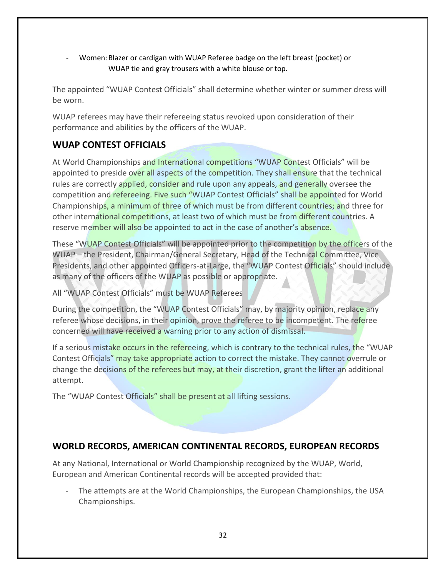- Women:Blazer or cardigan with WUAP Referee badge on the left breast (pocket) or WUAP tie and gray trousers with a white blouse or top.

The appointed "WUAP Contest Officials" shall determine whether winter or summer dress will be worn.

WUAP referees may have their refereeing status revoked upon consideration of their performance and abilities by the officers of the WUAP.

# **WUAP CONTEST OFFICIALS**

At World Championships and International competitions "WUAP Contest Officials" will be appointed to preside over all aspects of the competition. They shall ensure that the technical rules are correctly applied, consider and rule upon any appeals, and generally oversee the competition and refereeing. Five such "WUAP Contest Officials" shall be appointed for World Championships, a minimum of three of which must be from different countries; and three for other international competitions, at least two of which must be from different countries. A reserve member will also be appointed to act in the case of another's absence.

These "WUAP Contest Officials" will be appointed prior to the competition by the officers of the WUAP – the President, Chairman/General Secretary, Head of the Technical Committee, Vice Presidents, and other appointed Officers-at-Large, the "WUAP Contest Officials" should include as many of the officers of the WUAP as possible or appropriate.

All "WUAP Contest Officials" must be WUAP Referees

During the competition, the "WUAP Contest Officials" may, by majority opinion, replace any referee whose decisions, in their opinion, prove the referee to be incompetent. The referee concerned will have received a warning prior to any action of dismissal.

If a serious mistake occurs in the refereeing, which is contrary to the technical rules, the "WUAP Contest Officials" may take appropriate action to correct the mistake. They cannot overrule or change the decisions of the referees but may, at their discretion, grant the lifter an additional attempt.

The "WUAP Contest Officials" shall be present at all lifting sessions.

# **WORLD RECORDS, AMERICAN CONTINENTAL RECORDS, EUROPEAN RECORDS**

At any National, International or World Championship recognized by the WUAP, World, European and American Continental records will be accepted provided that:

The attempts are at the World Championships, the European Championships, the USA Championships.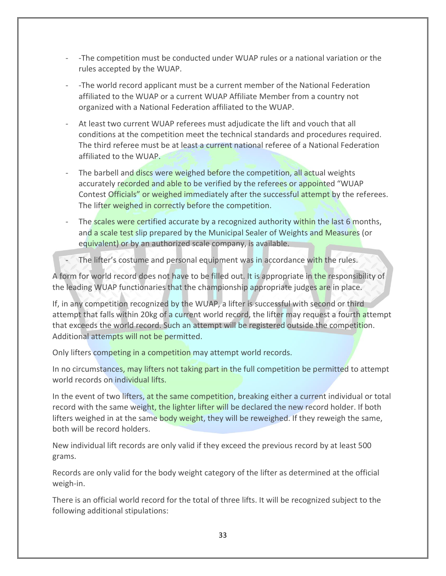- -The competition must be conducted under WUAP rules or a national variation or the rules accepted by the WUAP.
- -The world record applicant must be a current member of the National Federation affiliated to the WUAP or a current WUAP Affiliate Member from a country not organized with a National Federation affiliated to the WUAP.
- At least two current WUAP referees must adjudicate the lift and vouch that all conditions at the competition meet the technical standards and procedures required. The third referee must be at least a current national referee of a National Federation affiliated to the WUAP.
- The barbell and discs were weighed before the competition, all actual weights accurately recorded and able to be verified by the referees or appointed "WUAP Contest Officials" or weighed immediately after the successful attempt by the referees. The lifter weighed in correctly before the competition.
- The scales were certified accurate by a recognized authority within the last 6 months, and a scale test slip prepared by the Municipal Sealer of Weights and Measures (or equivalent) or by an authorized scale company, is available.
- The lifter's costume and personal equipment was in accordance with the rules.

A form for world record does not have to be filled out. It is appropriate in the responsibility of the leading WUAP functionaries that the championship appropriate judges are in place.

If, in any competition recognized by the WUAP, a lifter is successful with second or third attempt that falls within 20kg of a current world record, the lifter may request a fourth attempt that exceeds the world record. Such an attempt will be registered outside the competition. Additional attempts will not be permitted.

Only lifters competing in a competition may attempt world records.

In no circumstances, may lifters not taking part in the full competition be permitted to attempt world records on individual lifts.

In the event of two lifters, at the same competition, breaking either a current individual or total record with the same weight, the lighter lifter will be declared the new record holder. If both lifters weighed in at the same body weight, they will be reweighed. If they reweigh the same, both will be record holders.

New individual lift records are only valid if they exceed the previous record by at least 500 grams.

Records are only valid for the body weight category of the lifter as determined at the official weigh-in.

There is an official world record for the total of three lifts. It will be recognized subject to the following additional stipulations: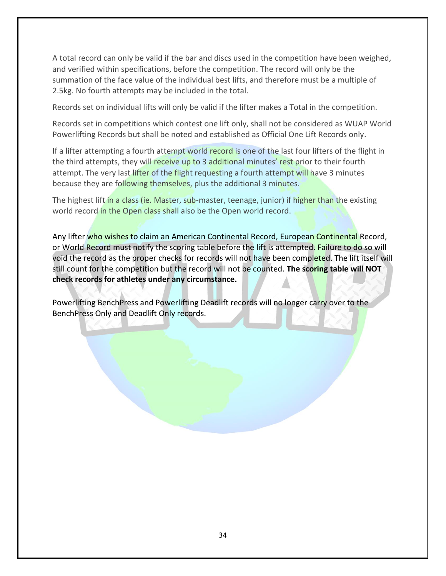A total record can only be valid if the bar and discs used in the competition have been weighed, and verified within specifications, before the competition. The record will only be the summation of the face value of the individual best lifts, and therefore must be a multiple of 2.5kg. No fourth attempts may be included in the total.

Records set on individual lifts will only be valid if the lifter makes a Total in the competition.

Records set in competitions which contest one lift only, shall not be considered as WUAP World Powerlifting Records but shall be noted and established as Official One Lift Records only.

If a lifter attempting a fourth attempt world record is one of the last four lifters of the flight in the third attempts, they will receive up to 3 additional minutes' rest prior to their fourth attempt. The very last lifter of the flight requesting a fourth attempt will have 3 minutes because they are following themselves, plus the additional 3 minutes.

The highest lift in a class (ie. Master, sub-master, teenage, junior) if higher than the existing world record in the Open class shall also be the Open world record.

Any lifter who wishes to claim an American Continental Record, European Continental Record, or World Record must notify the scoring table before the lift is attempted. Failure to do so will void the record as the proper checks for records will not have been completed. The lift itself will still count for the competition but the record will not be counted. **The scoring table will NOT check records for athletes under any circumstance.** 

Powerlifting BenchPress and Powerlifting Deadlift records will no longer carry over to the BenchPress Only and Deadlift Only records.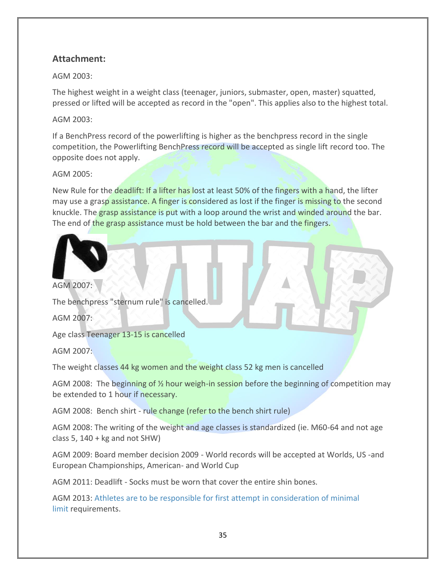# **Attachment:**

AGM 2003:

The highest weight in a weight class (teenager, juniors, submaster, open, master) squatted, pressed or lifted will be accepted as record in the "open". This applies also to the highest total.

## AGM 2003:

If a BenchPress record of the powerlifting is higher as the benchpress record in the single competition, the Powerlifting BenchPress record will be accepted as single lift record too. The opposite does not apply.

## AGM 2005:

New Rule for the deadlift: If a lifter has lost at least 50% of the fingers with a hand, the lifter may use a grasp assistance. A finger is considered as lost if the finger is missing to the second knuckle. The grasp assistance is put with a loop around the wrist and winded around the bar. The end of the grasp assistance must be hold between the bar and the fingers.



AGM 2007:

The benchpress "sternum rule" is cancelled.

AGM 2007:

Age class Teenager 13-15 is cancelled

AGM 2007:

The weight classes 44 kg women and the weight class 52 kg men is cancelled

AGM 2008: The beginning of 1/2 hour weigh-in session before the beginning of competition may be extended to 1 hour if necessary.

AGM 2008: Bench shirt - rule change (refer to the bench shirt rule)

AGM 2008: The writing of the weight and age classes is standardized (ie. M60-64 and not age class 5,  $140 + kg$  and not SHW)

AGM 2009: Board member decision 2009 - World records will be accepted at Worlds, US -and European Championships, American- and World Cup

AGM 2011: Deadlift - Socks must be worn that cover the entire shin bones.

AGM 2013: [Athletes are to be responsible for first attempt in consideration of minimal](http://wuap-powerlifting.com/documents/rules#agm_2013)  [limit](http://wuap-powerlifting.com/documents/rules#agm_2013) requirements.